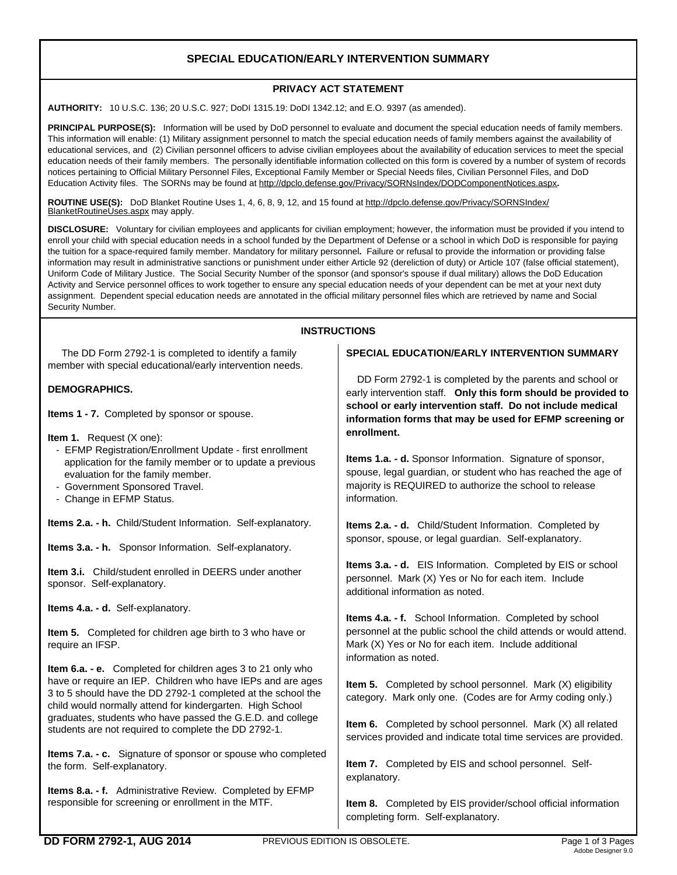# **SPECIAL EDUCATION/EARLY INTERVENTION SUMMARY**

### **PRIVACY ACT STATEMENT**

**AUTHORITY:** 10 U.S.C. 136; 20 U.S.C. 927; DoDI 1315.19: DoDI 1342.12; and E.O. 9397 (as amended).

**PRINCIPAL PURPOSE(S):** Information will be used by DoD personnel to evaluate and document the special education needs of family members. This information will enable: (1) Military assignment personnel to match the special education needs of family members against the availability of educational services, and (2) Civilian personnel officers to advise civilian employees about the availability of education services to meet the special education needs of their family members. The personally identifiable information collected on this form is covered by a number of system of records notices pertaining to Official Military Personnel Files, Exceptional Family Member or Special Needs files, Civilian Personnel Files, and DoD Education Activity files. The SORNs may be found at http://dpclo.defense.gov/Privacy/SORNsIndex/DODComponentNotices.aspx**.** 

 **ROUTINE USE(S):** DoD Blanket Routine Uses 1, 4, 6, 8, 9, 12, and 15 found at http://dpclo.defense.gov/Privacy/SORNSIndex/ BlanketRoutineUses.aspx may apply.

**DISCLOSURE:** Voluntary for civilian employees and applicants for civilian employment; however, the information must be provided if you intend to enroll your child with special education needs in a school funded by the Department of Defense or a school in which DoD is responsible for paying the tuition for a space-required family member. Mandatory for military personnel**.** Failure or refusal to provide the information or providing false information may result in administrative sanctions or punishment under either Article 92 (dereliction of duty) or Article 107 (false official statement), Uniform Code of Military Justice. The Social Security Number of the sponsor (and sponsor's spouse if dual military) allows the DoD Education Activity and Service personnel offices to work together to ensure any special education needs of your dependent can be met at your next duty assignment. Dependent special education needs are annotated in the official military personnel files which are retrieved by name and Social Security Number.

## **INSTRUCTIONS**

 The DD Form 2792-1 is completed to identify a family member with special educational/early intervention needs.

### **DEMOGRAPHICS.**

**Items 1 - 7.** Completed by sponsor or spouse.

- **Item 1.** Request (X one):
	- EFMP Registration/Enrollment Update first enrollment application for the family member or to update a previous evaluation for the family member.
	- Government Sponsored Travel.
	- Change in EFMP Status.

**Items 2.a. - h.** Child/Student Information. Self-explanatory.

**Items 3.a. - h.** Sponsor Information. Self-explanatory.

**Item 3.i.** Child/student enrolled in DEERS under another sponsor. Self-explanatory.

**Items 4.a. - d.** Self-explanatory.

**Item 5.** Completed for children age birth to 3 who have or require an IFSP.

**Item 6.a. - e.** Completed for children ages 3 to 21 only who have or require an IEP. Children who have IEPs and are ages 3 to 5 should have the DD 2792-1 completed at the school the child would normally attend for kindergarten. High School graduates, students who have passed the G.E.D. and college students are not required to complete the DD 2792-1.

**Items 7.a. - c.** Signature of sponsor or spouse who completed the form. Self-explanatory.

**Items 8.a. - f.** Administrative Review. Completed by EFMP responsible for screening or enrollment in the MTF.

#### **SPECIAL EDUCATION/EARLY INTERVENTION SUMMARY**

 DD Form 2792-1 is completed by the parents and school or early intervention staff. **Only this form should be provided to school or early intervention staff. Do not include medical information forms that may be used for EFMP screening or enrollment.** 

**Items 1.a. - d.** Sponsor Information. Signature of sponsor, spouse, legal guardian, or student who has reached the age of majority is REQUIRED to authorize the school to release information.

**Items 2.a. - d.** Child/Student Information. Completed by sponsor, spouse, or legal guardian. Self-explanatory.

**Items 3.a. - d.** EIS Information. Completed by EIS or school personnel. Mark (X) Yes or No for each item. Include additional information as noted.

**Items 4.a. - f.** School Information. Completed by school personnel at the public school the child attends or would attend. Mark (X) Yes or No for each item. Include additional information as noted.

**Item 5.** Completed by school personnel. Mark (X) eligibility category. Mark only one. (Codes are for Army coding only.)

**Item 6.** Completed by school personnel. Mark (X) all related services provided and indicate total time services are provided.

**Item 7.** Completed by EIS and school personnel. Selfexplanatory.

**Item 8.** Completed by EIS provider/school official information completing form. Self-explanatory.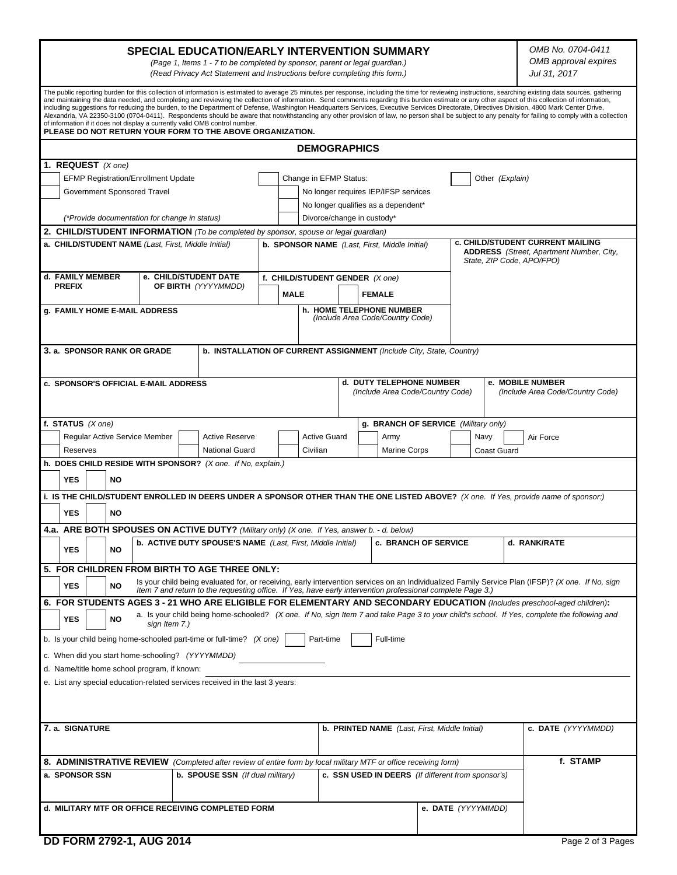| <b>SPECIAL EDUCATION/EARLY INTERVENTION SUMMARY</b><br>(Page 1, Items 1 - 7 to be completed by sponsor, parent or legal guardian.)<br>(Read Privacy Act Statement and Instructions before completing this form.)                                                                                                                                                                                                                                                                                                                                                                                                                                                                                                                                                                                                                                                                                                                                                  |                                                                                                     |                                                                                                            |             |                                                                             |                                                      |                                           |                                                    |                    | OMB No. 0704-0411<br>OMB approval expires<br>Jul 31, 2017                                                        |                                                                                                                                                   |  |  |
|-------------------------------------------------------------------------------------------------------------------------------------------------------------------------------------------------------------------------------------------------------------------------------------------------------------------------------------------------------------------------------------------------------------------------------------------------------------------------------------------------------------------------------------------------------------------------------------------------------------------------------------------------------------------------------------------------------------------------------------------------------------------------------------------------------------------------------------------------------------------------------------------------------------------------------------------------------------------|-----------------------------------------------------------------------------------------------------|------------------------------------------------------------------------------------------------------------|-------------|-----------------------------------------------------------------------------|------------------------------------------------------|-------------------------------------------|----------------------------------------------------|--------------------|------------------------------------------------------------------------------------------------------------------|---------------------------------------------------------------------------------------------------------------------------------------------------|--|--|
| The public reporting burden for this collection of information is estimated to average 25 minutes per response, including the time for reviewing instructions, searching existing data sources, gathering<br>and maintaining the data needed, and completing and reviewing the collection of information. Send comments regarding this burden estimate or any other aspect of this collection of information,<br>including suggestions for reducing the burden, to the Department of Defense, Washington Headquarters Services, Executive Services Directorate, Directives Division, 4800 Mark Center Drive,<br>Alexandria, VA 22350-3100 (0704-0411). Respondents should be aware that notwithstanding any other provision of law, no person shall be subject to any penalty for failing to comply with a collection<br>of information if it does not display a currently valid OMB control number.<br>PLEASE DO NOT RETURN YOUR FORM TO THE ABOVE ORGANIZATION. |                                                                                                     |                                                                                                            |             |                                                                             |                                                      |                                           |                                                    |                    |                                                                                                                  |                                                                                                                                                   |  |  |
| <b>DEMOGRAPHICS</b>                                                                                                                                                                                                                                                                                                                                                                                                                                                                                                                                                                                                                                                                                                                                                                                                                                                                                                                                               |                                                                                                     |                                                                                                            |             |                                                                             |                                                      |                                           |                                                    |                    |                                                                                                                  |                                                                                                                                                   |  |  |
| 1. REQUEST $(X \text{ one})$                                                                                                                                                                                                                                                                                                                                                                                                                                                                                                                                                                                                                                                                                                                                                                                                                                                                                                                                      |                                                                                                     |                                                                                                            |             |                                                                             |                                                      |                                           |                                                    |                    |                                                                                                                  |                                                                                                                                                   |  |  |
| <b>EFMP Registration/Enrollment Update</b>                                                                                                                                                                                                                                                                                                                                                                                                                                                                                                                                                                                                                                                                                                                                                                                                                                                                                                                        |                                                                                                     |                                                                                                            |             |                                                                             |                                                      | Change in EFMP Status:<br>Other (Explain) |                                                    |                    |                                                                                                                  |                                                                                                                                                   |  |  |
| Government Sponsored Travel                                                                                                                                                                                                                                                                                                                                                                                                                                                                                                                                                                                                                                                                                                                                                                                                                                                                                                                                       |                                                                                                     |                                                                                                            |             | No longer requires IEP/IFSP services<br>No longer qualifies as a dependent* |                                                      |                                           |                                                    |                    |                                                                                                                  |                                                                                                                                                   |  |  |
| (*Provide documentation for change in status)                                                                                                                                                                                                                                                                                                                                                                                                                                                                                                                                                                                                                                                                                                                                                                                                                                                                                                                     |                                                                                                     |                                                                                                            |             | Divorce/change in custody*                                                  |                                                      |                                           |                                                    |                    |                                                                                                                  |                                                                                                                                                   |  |  |
| 2. CHILD/STUDENT INFORMATION (To be completed by sponsor, spouse or legal guardian)                                                                                                                                                                                                                                                                                                                                                                                                                                                                                                                                                                                                                                                                                                                                                                                                                                                                               |                                                                                                     |                                                                                                            |             |                                                                             |                                                      |                                           |                                                    |                    |                                                                                                                  |                                                                                                                                                   |  |  |
| a. CHILD/STUDENT NAME (Last, First, Middle Initial)                                                                                                                                                                                                                                                                                                                                                                                                                                                                                                                                                                                                                                                                                                                                                                                                                                                                                                               |                                                                                                     |                                                                                                            |             |                                                                             | b. SPONSOR NAME (Last, First, Middle Initial)        |                                           |                                                    |                    | c. CHILD/STUDENT CURRENT MAILING<br><b>ADDRESS</b> (Street, Apartment Number, City,<br>State, ZIP Code, APO/FPO) |                                                                                                                                                   |  |  |
| d. FAMILY MEMBER<br>e. CHILD/STUDENT DATE                                                                                                                                                                                                                                                                                                                                                                                                                                                                                                                                                                                                                                                                                                                                                                                                                                                                                                                         |                                                                                                     |                                                                                                            |             |                                                                             | f. CHILD/STUDENT GENDER (X one)                      |                                           |                                                    |                    |                                                                                                                  |                                                                                                                                                   |  |  |
| <b>PREFIX</b>                                                                                                                                                                                                                                                                                                                                                                                                                                                                                                                                                                                                                                                                                                                                                                                                                                                                                                                                                     | OF BIRTH (YYYYMMDD)                                                                                 |                                                                                                            | <b>MALE</b> |                                                                             | <b>FEMALE</b>                                        |                                           |                                                    |                    |                                                                                                                  |                                                                                                                                                   |  |  |
| g. FAMILY HOME E-MAIL ADDRESS                                                                                                                                                                                                                                                                                                                                                                                                                                                                                                                                                                                                                                                                                                                                                                                                                                                                                                                                     |                                                                                                     |                                                                                                            |             |                                                                             |                                                      |                                           | h. HOME TELEPHONE NUMBER                           |                    |                                                                                                                  |                                                                                                                                                   |  |  |
|                                                                                                                                                                                                                                                                                                                                                                                                                                                                                                                                                                                                                                                                                                                                                                                                                                                                                                                                                                   |                                                                                                     |                                                                                                            |             |                                                                             |                                                      | (Include Area Code/Country Code)          |                                                    |                    |                                                                                                                  |                                                                                                                                                   |  |  |
|                                                                                                                                                                                                                                                                                                                                                                                                                                                                                                                                                                                                                                                                                                                                                                                                                                                                                                                                                                   | b. INSTALLATION OF CURRENT ASSIGNMENT (Include City, State, Country)<br>3. a. SPONSOR RANK OR GRADE |                                                                                                            |             |                                                                             |                                                      |                                           |                                                    |                    |                                                                                                                  |                                                                                                                                                   |  |  |
| c. SPONSOR'S OFFICIAL E-MAIL ADDRESS                                                                                                                                                                                                                                                                                                                                                                                                                                                                                                                                                                                                                                                                                                                                                                                                                                                                                                                              |                                                                                                     |                                                                                                            |             |                                                                             |                                                      |                                           | d. DUTY TELEPHONE NUMBER                           |                    |                                                                                                                  | e. MOBILE NUMBER                                                                                                                                  |  |  |
| (Include Area Code/Country Code)                                                                                                                                                                                                                                                                                                                                                                                                                                                                                                                                                                                                                                                                                                                                                                                                                                                                                                                                  |                                                                                                     |                                                                                                            |             |                                                                             |                                                      |                                           |                                                    |                    | (Include Area Code/Country Code)                                                                                 |                                                                                                                                                   |  |  |
| f. STATUS $(X \text{ one})$                                                                                                                                                                                                                                                                                                                                                                                                                                                                                                                                                                                                                                                                                                                                                                                                                                                                                                                                       |                                                                                                     |                                                                                                            |             |                                                                             |                                                      |                                           | g. BRANCH OF SERVICE (Military only)               |                    |                                                                                                                  |                                                                                                                                                   |  |  |
| <b>Active Reserve</b><br>Regular Active Service Member                                                                                                                                                                                                                                                                                                                                                                                                                                                                                                                                                                                                                                                                                                                                                                                                                                                                                                            |                                                                                                     |                                                                                                            |             | <b>Active Guard</b><br>Civilian                                             |                                                      |                                           | Army                                               |                    | Navy                                                                                                             | Air Force                                                                                                                                         |  |  |
| <b>Reserves</b><br>h. DOES CHILD RESIDE WITH SPONSOR? (X one. If No, explain.)                                                                                                                                                                                                                                                                                                                                                                                                                                                                                                                                                                                                                                                                                                                                                                                                                                                                                    |                                                                                                     | <b>National Guard</b>                                                                                      |             |                                                                             |                                                      |                                           | <b>Marine Corps</b>                                |                    | <b>Coast Guard</b>                                                                                               |                                                                                                                                                   |  |  |
| <b>YES</b><br>NO                                                                                                                                                                                                                                                                                                                                                                                                                                                                                                                                                                                                                                                                                                                                                                                                                                                                                                                                                  |                                                                                                     |                                                                                                            |             |                                                                             |                                                      |                                           |                                                    |                    |                                                                                                                  |                                                                                                                                                   |  |  |
|                                                                                                                                                                                                                                                                                                                                                                                                                                                                                                                                                                                                                                                                                                                                                                                                                                                                                                                                                                   |                                                                                                     |                                                                                                            |             |                                                                             |                                                      |                                           |                                                    |                    |                                                                                                                  | i. IS THE CHILD/STUDENT ENROLLED IN DEERS UNDER A SPONSOR OTHER THAN THE ONE LISTED ABOVE? (X one. If Yes, provide name of sponsor:)              |  |  |
| <b>YES</b><br><b>NO</b>                                                                                                                                                                                                                                                                                                                                                                                                                                                                                                                                                                                                                                                                                                                                                                                                                                                                                                                                           |                                                                                                     |                                                                                                            |             |                                                                             |                                                      |                                           |                                                    |                    |                                                                                                                  |                                                                                                                                                   |  |  |
|                                                                                                                                                                                                                                                                                                                                                                                                                                                                                                                                                                                                                                                                                                                                                                                                                                                                                                                                                                   |                                                                                                     |                                                                                                            |             |                                                                             |                                                      |                                           |                                                    |                    |                                                                                                                  |                                                                                                                                                   |  |  |
| 4.a. ARE BOTH SPOUSES ON ACTIVE DUTY? (Military only) (X one. If Yes, answer b. - d. below)<br>b. ACTIVE DUTY SPOUSE'S NAME (Last, First, Middle Initial)<br><b>c. BRANCH OF SERVICE</b><br><b>YES</b><br>NO                                                                                                                                                                                                                                                                                                                                                                                                                                                                                                                                                                                                                                                                                                                                                      |                                                                                                     |                                                                                                            |             |                                                                             |                                                      |                                           | d. RANK/RATE                                       |                    |                                                                                                                  |                                                                                                                                                   |  |  |
|                                                                                                                                                                                                                                                                                                                                                                                                                                                                                                                                                                                                                                                                                                                                                                                                                                                                                                                                                                   | 5. FOR CHILDREN FROM BIRTH TO AGE THREE ONLY:                                                       |                                                                                                            |             |                                                                             |                                                      |                                           |                                                    |                    |                                                                                                                  |                                                                                                                                                   |  |  |
| <b>YES</b><br><b>NO</b>                                                                                                                                                                                                                                                                                                                                                                                                                                                                                                                                                                                                                                                                                                                                                                                                                                                                                                                                           |                                                                                                     | Item 7 and return to the requesting office. If Yes, have early intervention professional complete Page 3.) |             |                                                                             |                                                      |                                           |                                                    |                    |                                                                                                                  | Is your child being evaluated for, or receiving, early intervention services on an Individualized Family Service Plan (IFSP)? (X one. If No, sign |  |  |
|                                                                                                                                                                                                                                                                                                                                                                                                                                                                                                                                                                                                                                                                                                                                                                                                                                                                                                                                                                   |                                                                                                     |                                                                                                            |             |                                                                             |                                                      |                                           |                                                    |                    |                                                                                                                  | 6. FOR STUDENTS AGES 3 - 21 WHO ARE ELIGIBLE FOR ELEMENTARY AND SECONDARY EDUCATION (Includes preschool-aged children):                           |  |  |
| <b>YES</b><br>NO                                                                                                                                                                                                                                                                                                                                                                                                                                                                                                                                                                                                                                                                                                                                                                                                                                                                                                                                                  | sign Item 7.)                                                                                       |                                                                                                            |             |                                                                             |                                                      |                                           |                                                    |                    |                                                                                                                  | a. Is your child being home-schooled? (X one. If No, sign Item 7 and take Page 3 to your child's school. If Yes, complete the following and       |  |  |
| Full-time<br>b. Is your child being home-schooled part-time or full-time? (X one)<br>Part-time                                                                                                                                                                                                                                                                                                                                                                                                                                                                                                                                                                                                                                                                                                                                                                                                                                                                    |                                                                                                     |                                                                                                            |             |                                                                             |                                                      |                                           |                                                    |                    |                                                                                                                  |                                                                                                                                                   |  |  |
| c. When did you start home-schooling? (YYYYMMDD)                                                                                                                                                                                                                                                                                                                                                                                                                                                                                                                                                                                                                                                                                                                                                                                                                                                                                                                  |                                                                                                     |                                                                                                            |             |                                                                             |                                                      |                                           |                                                    |                    |                                                                                                                  |                                                                                                                                                   |  |  |
| d. Name/title home school program, if known:                                                                                                                                                                                                                                                                                                                                                                                                                                                                                                                                                                                                                                                                                                                                                                                                                                                                                                                      |                                                                                                     |                                                                                                            |             |                                                                             |                                                      |                                           |                                                    |                    |                                                                                                                  |                                                                                                                                                   |  |  |
| e. List any special education-related services received in the last 3 years:                                                                                                                                                                                                                                                                                                                                                                                                                                                                                                                                                                                                                                                                                                                                                                                                                                                                                      |                                                                                                     |                                                                                                            |             |                                                                             |                                                      |                                           |                                                    |                    |                                                                                                                  |                                                                                                                                                   |  |  |
|                                                                                                                                                                                                                                                                                                                                                                                                                                                                                                                                                                                                                                                                                                                                                                                                                                                                                                                                                                   |                                                                                                     |                                                                                                            |             |                                                                             |                                                      |                                           |                                                    |                    |                                                                                                                  |                                                                                                                                                   |  |  |
|                                                                                                                                                                                                                                                                                                                                                                                                                                                                                                                                                                                                                                                                                                                                                                                                                                                                                                                                                                   |                                                                                                     |                                                                                                            |             |                                                                             |                                                      |                                           |                                                    |                    |                                                                                                                  |                                                                                                                                                   |  |  |
| 7. a. SIGNATURE                                                                                                                                                                                                                                                                                                                                                                                                                                                                                                                                                                                                                                                                                                                                                                                                                                                                                                                                                   |                                                                                                     |                                                                                                            |             |                                                                             | <b>b. PRINTED NAME</b> (Last, First, Middle Initial) |                                           |                                                    |                    |                                                                                                                  | c. DATE (YYYYMMDD)                                                                                                                                |  |  |
| 8. ADMINISTRATIVE REVIEW (Completed after review of entire form by local military MTF or office receiving form)                                                                                                                                                                                                                                                                                                                                                                                                                                                                                                                                                                                                                                                                                                                                                                                                                                                   |                                                                                                     |                                                                                                            |             |                                                                             |                                                      |                                           |                                                    |                    |                                                                                                                  | f. STAMP                                                                                                                                          |  |  |
| a. SPONSOR SSN                                                                                                                                                                                                                                                                                                                                                                                                                                                                                                                                                                                                                                                                                                                                                                                                                                                                                                                                                    | <b>b. SPOUSE SSN</b> (If dual military)                                                             |                                                                                                            |             |                                                                             |                                                      |                                           | c. SSN USED IN DEERS (If different from sponsor's) |                    |                                                                                                                  |                                                                                                                                                   |  |  |
|                                                                                                                                                                                                                                                                                                                                                                                                                                                                                                                                                                                                                                                                                                                                                                                                                                                                                                                                                                   |                                                                                                     |                                                                                                            |             |                                                                             |                                                      |                                           |                                                    |                    |                                                                                                                  |                                                                                                                                                   |  |  |
| d. MILITARY MTF OR OFFICE RECEIVING COMPLETED FORM                                                                                                                                                                                                                                                                                                                                                                                                                                                                                                                                                                                                                                                                                                                                                                                                                                                                                                                |                                                                                                     |                                                                                                            |             |                                                                             |                                                      |                                           |                                                    | e. DATE (YYYYMMDD) |                                                                                                                  |                                                                                                                                                   |  |  |
|                                                                                                                                                                                                                                                                                                                                                                                                                                                                                                                                                                                                                                                                                                                                                                                                                                                                                                                                                                   |                                                                                                     |                                                                                                            |             |                                                                             |                                                      |                                           |                                                    |                    |                                                                                                                  |                                                                                                                                                   |  |  |
| <b>DD FORM 2792-1, AUG 2014</b>                                                                                                                                                                                                                                                                                                                                                                                                                                                                                                                                                                                                                                                                                                                                                                                                                                                                                                                                   |                                                                                                     |                                                                                                            |             |                                                                             |                                                      |                                           |                                                    |                    |                                                                                                                  | Page 2 of 3 Pages                                                                                                                                 |  |  |